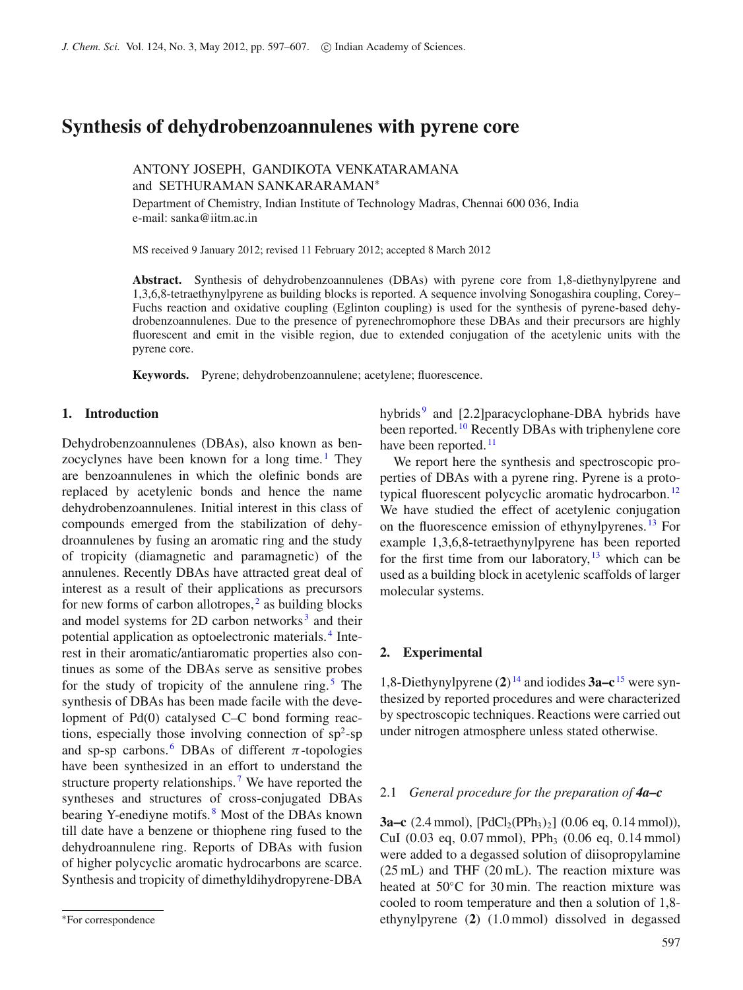# **Synthesis of dehydrobenzoannulenes with pyrene core**

# ANTONY JOSEPH, GANDIKOTA VENKATARAMANA and SETHURAMAN SANKARARAMAN<sup>∗</sup>

Department of Chemistry, Indian Institute of Technology Madras, Chennai 600 036, India e-mail: sanka@iitm.ac.in

MS received 9 January 2012; revised 11 February 2012; accepted 8 March 2012

**Abstract.** Synthesis of dehydrobenzoannulenes (DBAs) with pyrene core from 1,8-diethynylpyrene and 1,3,6,8-tetraethynylpyrene as building blocks is reported. A sequence involving Sonogashira coupling, Corey– Fuchs reaction and oxidative coupling (Eglinton coupling) is used for the synthesis of pyrene-based dehydrobenzoannulenes. Due to the presence of pyrenechromophore these DBAs and their precursors are highly fluorescent and emit in the visible region, due to extended conjugation of the acetylenic units with the pyrene core.

**Keywords.** Pyrene; dehydrobenzoannulene; acetylene; fluorescence.

### **1. Introduction**

Dehydrobenzoannulenes (DBAs), also known as ben-zocyclynes have been known for a long time.<sup>[1](#page-10-0)</sup> They are benzoannulenes in which the olefinic bonds are replaced by acetylenic bonds and hence the name dehydrobenzoannulenes. Initial interest in this class of compounds emerged from the stabilization of dehydroannulenes by fusing an aromatic ring and the study of tropicity (diamagnetic and paramagnetic) of the annulenes. Recently DBAs have attracted great deal of interest as a result of their applications as precursors for new forms of carbon allotropes, $<sup>2</sup>$  $<sup>2</sup>$  $<sup>2</sup>$  as building blocks</sup> and model systems for 2D carbon networks<sup>[3](#page-10-2)</sup> and their potential application as optoelectronic materials. [4](#page-10-3) Interest in their aromatic/antiaromatic properties also continues as some of the DBAs serve as sensitive probes for the study of tropicity of the annulene ring.<sup>[5](#page-10-4)</sup> The synthesis of DBAs has been made facile with the development of Pd(0) catalysed C–C bond forming reactions, especially those involving connection of  $sp^2$ -sp and sp-sp carbons. <sup>[6](#page-10-5)</sup> DBAs of different  $\pi$ -topologies have been synthesized in an effort to understand the structure property relationships.<sup>[7](#page-10-6)</sup> We have reported the syntheses and structures of cross-conjugated DBAs bearing Y-enediyne motifs. [8](#page-10-7) Most of the DBAs known till date have a benzene or thiophene ring fused to the dehydroannulene ring. Reports of DBAs with fusion of higher polycyclic aromatic hydrocarbons are scarce. Synthesis and tropicity of dimethyldihydropyrene-DBA hybrids<sup>[9](#page-10-8)</sup> and [2.2]paracyclophane-DBA hybrids have been reported. <sup>[10](#page-10-9)</sup> Recently DBAs with triphenylene core have been reported.<sup>[11](#page-10-10)</sup>

We report here the synthesis and spectroscopic properties of DBAs with a pyrene ring. Pyrene is a proto-typical fluorescent polycyclic aromatic hydrocarbon.<sup>[12](#page-10-11)</sup> We have studied the effect of acetylenic conjugation on the fluorescence emission of ethynylpyrenes. [13](#page-10-12) For example 1,3,6,8-tetraethynylpyrene has been reported for the first time from our laboratory,  $13$  which can be used as a building block in acetylenic scaffolds of larger molecular systems.

### **2. Experimental**

1,8-Diethynylpyrene (**2**) [14](#page-10-13) and iodides **3a–c** [15](#page-10-14) were synthesized by reported procedures and were characterized by spectroscopic techniques. Reactions were carried out under nitrogen atmosphere unless stated otherwise.

### 2.1 *General procedure for the preparation of 4a–c*

**3a–c** (2.4 mmol),  $[\text{PdCl}_2(\text{PPh}_3)_2]$  (0.06 eq, 0.14 mmol)), CuI (0.03 eq, 0.07 mmol), PPh<sub>3</sub> (0.06 eq, 0.14 mmol) were added to a degassed solution of diisopropylamine (25 mL) and THF (20 mL). The reaction mixture was heated at 50℃ for 30 min. The reaction mixture was cooled to room temperature and then a solution of 1,8 ethynylpyrene (**2**) (1.0 mmol) dissolved in degassed

<sup>∗</sup>For correspondence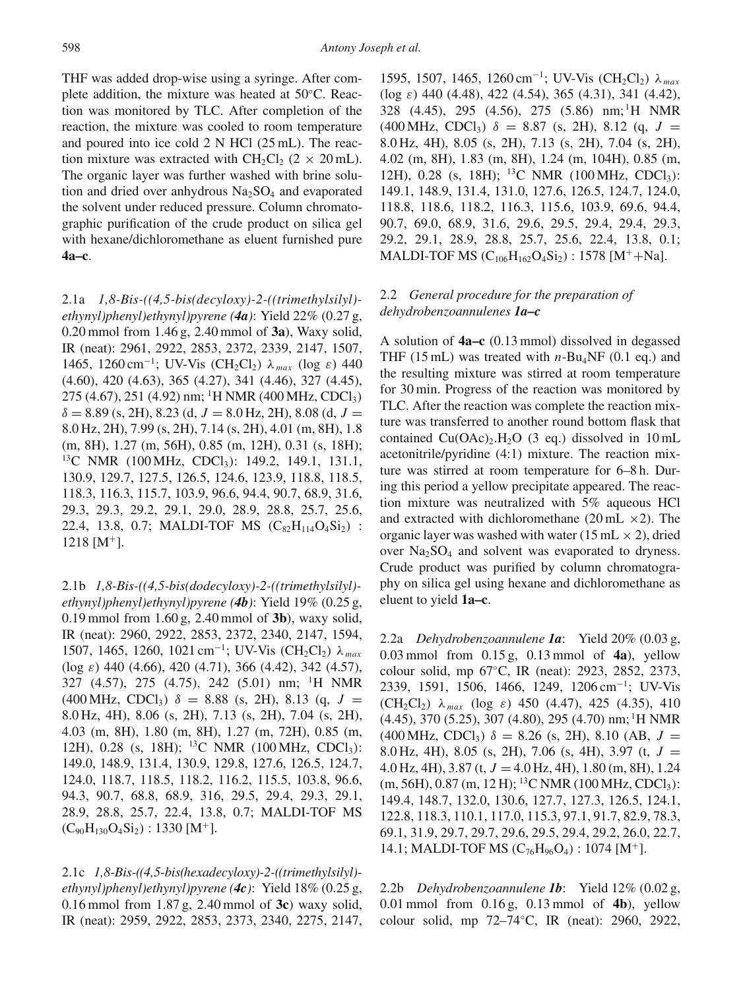THF was added drop-wise using a syringe. After complete addition, the mixture was heated at 50◦C. Reaction was monitored by TLC. After completion of the reaction, the mixture was cooled to room temperature and poured into ice cold 2 N HCl (25 mL). The reaction mixture was extracted with  $CH_2Cl_2$  (2 × 20 mL). The organic layer was further washed with brine solution and dried over anhydrous  $Na<sub>2</sub>SO<sub>4</sub>$  and evaporated the solvent under reduced pressure. Column chromatographic purification of the crude product on silica gel with hexane/dichloromethane as eluent furnished pure **4a–c**.

2.1a *1,8-Bis-((4,5-bis(decyloxy)-2-((trimethylsilyl) ethynyl)phenyl)ethynyl)pyrene (4a)*: Yield 22% (0.27 g, 0.20 mmol from 1.46 g, 2.40 mmol of **3a**), Waxy solid, IR (neat): 2961, 2922, 2853, 2372, 2339, 2147, 1507, 1465, 1260 cm<sup>−</sup>1; UV-Vis (CH2Cl2) λ *max* (log ε) 440 (4.60), 420 (4.63), 365 (4.27), 341 (4.46), 327 (4.45),  $275$  (4.67), 251 (4.92) nm; <sup>1</sup>H NMR (400 MHz, CDCl<sub>3</sub>)  $\delta = 8.89$  (s, 2H), 8.23 (d,  $J = 8.0$  Hz, 2H), 8.08 (d,  $J =$ 8.0 Hz, 2H), 7.99 (s, 2H), 7.14 (s, 2H), 4.01 (m, 8H), 1.8 (m, 8H), 1.27 (m, 56H), 0.85 (m, 12H), 0.31 (s, 18H); <sup>13</sup>C NMR (100 MHz, CDCl<sub>3</sub>): 149.2, 149.1, 131.1, 130.9, 129.7, 127.5, 126.5, 124.6, 123.9, 118.8, 118.5, 118.3, 116.3, 115.7, 103.9, 96.6, 94.4, 90.7, 68.9, 31.6, 29.3, 29.3, 29.2, 29.1, 29.0, 28.9, 28.8, 25.7, 25.6, 22.4, 13.8, 0.7; MALDI-TOF MS  $(C_{82}H_{114}O_4Si_2)$ :  $1218$  [M<sup>+</sup>].

2.1b *1,8-Bis-((4,5-bis(dodecyloxy)-2-((trimethylsilyl) ethynyl)phenyl)ethynyl)pyrene (4b)*: Yield 19% (0.25 g, 0.19 mmol from 1.60 g, 2.40 mmol of **3b**), waxy solid, IR (neat): 2960, 2922, 2853, 2372, 2340, 2147, 1594, 1507, 1465, 1260, 1021 cm<sup>−</sup>1; UV-Vis (CH2Cl2) λ *max* (log  $\varepsilon$ ) 440 (4.66), 420 (4.71), 366 (4.42), 342 (4.57), 327 (4.57), 275 (4.75), 242 (5.01) nm; 1H NMR  $(400 \text{ MHz}, \text{CDCl}_3)$   $\delta = 8.88$  (s, 2H), 8.13 (q,  $J =$ 8.0 Hz, 4H), 8.06 (s, 2H), 7.13 (s, 2H), 7.04 (s, 2H), 4.03 (m, 8H), 1.80 (m, 8H), 1.27 (m, 72H), 0.85 (m, 12H), 0.28 (s, 18H); <sup>13</sup>C NMR (100 MHz, CDCl<sub>3</sub>): 149.0, 148.9, 131.4, 130.9, 129.8, 127.6, 126.5, 124.7, 124.0, 118.7, 118.5, 118.2, 116.2, 115.5, 103.8, 96.6, 94.3, 90.7, 68.8, 68.9, 316, 29.5, 29.4, 29.3, 29.1, 28.9, 28.8, 25.7, 22.4, 13.8, 0.7; MALDI-TOF MS  $(C_{90}H_{130}O_4Si_2): 1330 [M^+]$ .

2.1c *1,8-Bis-((4,5-bis(hexadecyloxy)-2-((trimethylsilyl) ethynyl)phenyl)ethynyl)pyrene (4c)*: Yield 18% (0.25 g, 0.16 mmol from 1.87 g, 2.40 mmol of **3c**) waxy solid, IR (neat): 2959, 2922, 2853, 2373, 2340, 2275, 2147,

1595, 1507, 1465, 1260 cm<sup>−</sup>1; UV-Vis (CH2Cl2) λ *max* (log  $\varepsilon$ ) 440 (4.48), 422 (4.54), 365 (4.31), 341 (4.42), 328 (4.45), 295 (4.56), 275 (5.86) nm; 1H NMR  $(400 \text{ MHz}, \text{CDCl}_3)$   $\delta = 8.87$  (s, 2H), 8.12 (q, J = 8.0 Hz, 4H), 8.05 (s, 2H), 7.13 (s, 2H), 7.04 (s, 2H), 4.02 (m, 8H), 1.83 (m, 8H), 1.24 (m, 104H), 0.85 (m, 12H), 0.28 (s, 18H); <sup>13</sup>C NMR (100 MHz, CDCl<sub>3</sub>): 149.1, 148.9, 131.4, 131.0, 127.6, 126.5, 124.7, 124.0, 118.8, 118.6, 118.2, 116.3, 115.6, 103.9, 69.6, 94.4, 90.7, 69.0, 68.9, 31.6, 29.6, 29.5, 29.4, 29.4, 29.3, 29.2, 29.1, 28.9, 28.8, 25.7, 25.6, 22.4, 13.8, 0.1; MALDI-TOF MS  $(C_{106}H_{162}O_4Si_2)$ : 1578 [M<sup>+</sup>+Na].

# 2.2 *General procedure for the preparation of dehydrobenzoannulenes 1a–c*

A solution of **4a–c** (0.13 mmol) dissolved in degassed THF (15 mL) was treated with  $n-Bu<sub>4</sub>NF$  (0.1 eq.) and the resulting mixture was stirred at room temperature for 30 min. Progress of the reaction was monitored by TLC. After the reaction was complete the reaction mixture was transferred to another round bottom flask that contained  $Cu(OAc)_{2}H_{2}O$  (3 eq.) dissolved in 10 mL acetonitrile/pyridine (4:1) mixture. The reaction mixture was stirred at room temperature for 6–8 h. During this period a yellow precipitate appeared. The reaction mixture was neutralized with 5% aqueous HCl and extracted with dichloromethane (20 mL  $\times$ 2). The organic layer was washed with water (15 mL  $\times$  2), dried over  $Na<sub>2</sub>SO<sub>4</sub>$  and solvent was evaporated to dryness. Crude product was purified by column chromatography on silica gel using hexane and dichloromethane as eluent to yield **1a–c**.

2.2a *Dehydrobenzoannulene 1a*: Yield 20% (0.03 g, 0.03 mmol from 0.15 g, 0.13 mmol of **4a**), yellow colour solid, mp 67◦C, IR (neat): 2923, 2852, 2373, 2339, 1591, 1506, 1466, 1249, 1206 cm<sup>−</sup>1; UV-Vis (CH<sub>2</sub>Cl<sub>2</sub>)  $\lambda_{max}$  (log  $\varepsilon$ ) 450 (4.47), 425 (4.35), 410  $(4.45)$ , 370  $(5.25)$ , 307  $(4.80)$ , 295  $(4.70)$  nm; <sup>1</sup>H NMR  $(400 \text{ MHz}, \text{CDCl}_3)$   $\delta = 8.26$  (s, 2H), 8.10 (AB,  $J =$ 8.0 Hz, 4H), 8.05 (s, 2H), 7.06 (s, 4H), 3.97 (t, *J* = 4.0 Hz, 4H), 3.87 (t, *J* = 4.0 Hz, 4H), 1.80 (m, 8H), 1.24  $(m, 56H), 0.87$   $(m, 12H);$  <sup>13</sup>C NMR (100 MHz, CDCl<sub>3</sub>): 149.4, 148.7, 132.0, 130.6, 127.7, 127.3, 126.5, 124.1, 122.8, 118.3, 110.1, 117.0, 115.3, 97.1, 91.7, 82.9, 78.3, 69.1, 31.9, 29.7, 29.7, 29.6, 29.5, 29.4, 29.2, 26.0, 22.7, 14.1; MALDI-TOF MS  $(C_{76}H_{96}O_4)$ : 1074 [M<sup>+</sup>].

2.2b *Dehydrobenzoannulene 1b*: Yield 12% (0.02 g, 0.01 mmol from 0.16 g, 0.13 mmol of **4b**), yellow colour solid, mp 72–74◦C, IR (neat): 2960, 2922,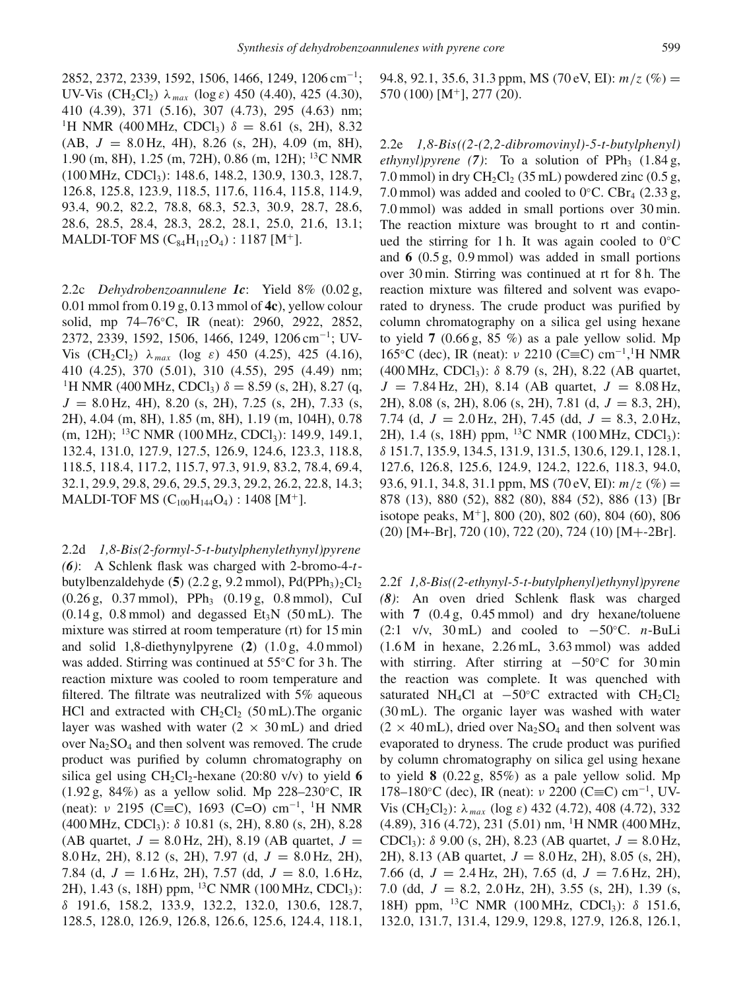2852, 2372, 2339, 1592, 1506, 1466, 1249, 1206 cm<sup>−</sup>1; UV-Vis (CH<sub>2</sub>Cl<sub>2</sub>)  $\lambda_{max}$  (log  $\varepsilon$ ) 450 (4.40), 425 (4.30), 410 (4.39), 371 (5.16), 307 (4.73), 295 (4.63) nm; <sup>1</sup>H NMR (400 MHz, CDCl<sub>3</sub>)  $\delta = 8.61$  (s, 2H), 8.32 (AB, *J* = 8.0 Hz, 4H), 8.26 (s, 2H), 4.09 (m, 8H), 1.90 (m, 8H), 1.25 (m, 72H), 0.86 (m, 12H); 13C NMR (100 MHz, CDCl3): 148.6, 148.2, 130.9, 130.3, 128.7, 126.8, 125.8, 123.9, 118.5, 117.6, 116.4, 115.8, 114.9, 93.4, 90.2, 82.2, 78.8, 68.3, 52.3, 30.9, 28.7, 28.6, 28.6, 28.5, 28.4, 28.3, 28.2, 28.1, 25.0, 21.6, 13.1; MALDI-TOF MS  $(C_{84}H_{112}O_4)$ : 1187 [M<sup>+</sup>].

2.2c *Dehydrobenzoannulene 1c*: Yield 8% (0.02 g, 0.01 mmol from 0.19 g, 0.13 mmol of **4c**), yellow colour solid, mp 74–76◦C, IR (neat): 2960, 2922, 2852, 2372, 2339, 1592, 1506, 1466, 1249, 1206 cm<sup>−</sup>1; UV-Vis  $(CH_2Cl_2)$   $\lambda_{max}$  (log  $\varepsilon$ ) 450 (4.25), 425 (4.16), 410 (4.25), 370 (5.01), 310 (4.55), 295 (4.49) nm; <sup>1</sup>H NMR (400 MHz, CDCl<sub>3</sub>)  $\delta = 8.59$  (s, 2H), 8.27 (q, *J* = 8.0 Hz, 4H), 8.20 (s, 2H), 7.25 (s, 2H), 7.33 (s, 2H), 4.04 (m, 8H), 1.85 (m, 8H), 1.19 (m, 104H), 0.78 (m, 12H); <sup>13</sup>C NMR (100 MHz, CDCl<sub>3</sub>): 149.9, 149.1, 132.4, 131.0, 127.9, 127.5, 126.9, 124.6, 123.3, 118.8, 118.5, 118.4, 117.2, 115.7, 97.3, 91.9, 83.2, 78.4, 69.4, 32.1, 29.9, 29.8, 29.6, 29.5, 29.3, 29.2, 26.2, 22.8, 14.3; MALDI-TOF MS  $(C_{100}H_{144}O_4)$ : 1408 [M<sup>+</sup>].

2.2d *1,8-Bis(2-formyl-5-t-butylphenylethynyl)pyrene (6)*: A Schlenk flask was charged with 2-bromo-4-*t*butylbenzaldehyde (**5**) (2.2 g, 9.2 mmol),  $Pd(PPh<sub>3</sub>)<sub>2</sub>Cl<sub>2</sub>$  $(0.26 \text{ g}, 0.37 \text{ mmol})$ , PPh<sub>3</sub>  $(0.19 \text{ g}, 0.8 \text{ mmol})$ , CuI  $(0.14 \text{ g}, 0.8 \text{ mmol})$  and degassed  $Et<sub>3</sub>N$  (50 mL). The mixture was stirred at room temperature (rt) for 15 min and solid 1,8-diethynylpyrene (**2**) (1.0 g, 4.0 mmol) was added. Stirring was continued at 55◦C for 3 h. The reaction mixture was cooled to room temperature and filtered. The filtrate was neutralized with 5% aqueous HCl and extracted with  $CH_2Cl_2$  (50 mL). The organic layer was washed with water  $(2 \times 30 \text{ mL})$  and dried over  $Na<sub>2</sub>SO<sub>4</sub>$  and then solvent was removed. The crude product was purified by column chromatography on silica gel using  $CH_2Cl_2$ -hexane (20:80 v/v) to yield 6 (1.92 g, 84%) as a yellow solid. Mp 228–230◦C, IR (neat):  $\nu$  2195 (C≡C), 1693 (C=O) cm<sup>-1</sup>, <sup>1</sup>H NMR  $(400 \text{ MHz}, \text{CDCl}_3)$ : δ 10.81 (s, 2H), 8.80 (s, 2H), 8.28 (AB quartet,  $J = 8.0$  Hz, 2H), 8.19 (AB quartet,  $J =$ 8.0 Hz, 2H), 8.12 (s, 2H), 7.97 (d, *J* = 8.0 Hz, 2H), 7.84 (d, *J* = 1.6 Hz, 2H), 7.57 (dd, *J* = 8.0, 1.6 Hz, 2H), 1.43 (s, 18H) ppm, <sup>13</sup>C NMR (100 MHz, CDCl<sub>3</sub>): δ 191.6, 158.2, 133.9, 132.2, 132.0, 130.6, 128.7, 128.5, 128.0, 126.9, 126.8, 126.6, 125.6, 124.4, 118.1, 94.8, 92.1, 35.6, 31.3 ppm, MS (70 eV, EI):  $m/z$  (%) = 570 (100) [M<sup>+</sup>], 277 (20).

2.2e *1,8-Bis((2-(2,2-dibromovinyl)-5-t-butylphenyl)*  $e^{th}$ ynyl)pyrene (7): To a solution of PPh<sub>3</sub> (1.84 g, 7.0 mmol) in dry CH<sub>2</sub>Cl<sub>2</sub> (35 mL) powdered zinc (0.5 g, 7.0 mmol) was added and cooled to  $0^{\circ}$ C. CBr<sub>4</sub> (2.33 g, 7.0 mmol) was added in small portions over 30 min. The reaction mixture was brought to rt and continued the stirring for 1 h. It was again cooled to  $0°C$ and **6** (0.5 g, 0.9 mmol) was added in small portions over 30 min. Stirring was continued at rt for 8 h. The reaction mixture was filtered and solvent was evaporated to dryness. The crude product was purified by column chromatography on a silica gel using hexane to yield  $7(0.66 \text{ g}, 85 \%)$  as a pale yellow solid. Mp 165<sup>°</sup>C (dec), IR (neat): ν 2210 (C≡C) cm<sup>-1</sup>,<sup>1</sup>H NMR (400 MHz, CDCl<sub>3</sub>):  $\delta$  8.79 (s, 2H), 8.22 (AB quartet,  $J = 7.84$  Hz, 2H), 8.14 (AB quartet,  $J = 8.08$  Hz, 2H), 8.08 (s, 2H), 8.06 (s, 2H), 7.81 (d, *J* = 8.3, 2H), 7.74 (d, *J* = 2.0 Hz, 2H), 7.45 (dd, *J* = 8.3, 2.0 Hz, 2H), 1.4 (s, 18H) ppm, <sup>13</sup>C NMR (100 MHz, CDCl<sub>3</sub>): δ 151.7, 135.9, 134.5, 131.9, 131.5, 130.6, 129.1, 128.1, 127.6, 126.8, 125.6, 124.9, 124.2, 122.6, 118.3, 94.0, 93.6, 91.1, 34.8, 31.1 ppm, MS (70 eV, EI):  $m/z$  (%) = 878 (13), 880 (52), 882 (80), 884 (52), 886 (13) [Br isotope peaks,  $M^+$ ], 800 (20), 802 (60), 804 (60), 806 (20) [M+-Br], 720 (10), 722 (20), 724 (10) [M+-2Br].

2.2f *1,8-Bis((2-ethynyl-5-t-butylphenyl)ethynyl)pyrene (8)*: An oven dried Schlenk flask was charged with **7** (0.4 g, 0.45 mmol) and dry hexane/toluene (2:1 v/v, 30 mL) and cooled to −50◦C. *n*-BuLi (1.6 M in hexane, 2.26 mL, 3.63 mmol) was added with stirring. After stirring at  $-50^{\circ}$ C for 30 min the reaction was complete. It was quenched with saturated NH<sub>4</sub>Cl at  $-50^{\circ}$ C extracted with CH<sub>2</sub>Cl<sub>2</sub> (30 mL). The organic layer was washed with water  $(2 \times 40 \text{ mL})$ , dried over Na<sub>2</sub>SO<sub>4</sub> and then solvent was evaporated to dryness. The crude product was purified by column chromatography on silica gel using hexane to yield **8** (0.22 g, 85%) as a pale yellow solid. Mp 178–180◦C (dec), IR (neat): ν 2200 (C≡C) cm<sup>−</sup>1, UV-Vis (CH<sub>2</sub>Cl<sub>2</sub>):  $\lambda_{max}$  (log  $\varepsilon$ ) 432 (4.72), 408 (4.72), 332  $(4.89)$ , 316  $(4.72)$ , 231  $(5.01)$  nm, <sup>1</sup>H NMR  $(400$  MHz, CDCl<sub>3</sub>):  $\delta$  9.00 (s, 2H), 8.23 (AB quartet,  $J = 8.0$  Hz, 2H), 8.13 (AB quartet, *J* = 8.0 Hz, 2H), 8.05 (s, 2H), 7.66 (d, *J* = 2.4 Hz, 2H), 7.65 (d, *J* = 7.6 Hz, 2H), 7.0 (dd, *J* = 8.2, 2.0 Hz, 2H), 3.55 (s, 2H), 1.39 (s, 18H) ppm, <sup>13</sup>C NMR (100 MHz, CDCl<sub>3</sub>): δ 151.6, 132.0, 131.7, 131.4, 129.9, 129.8, 127.9, 126.8, 126.1,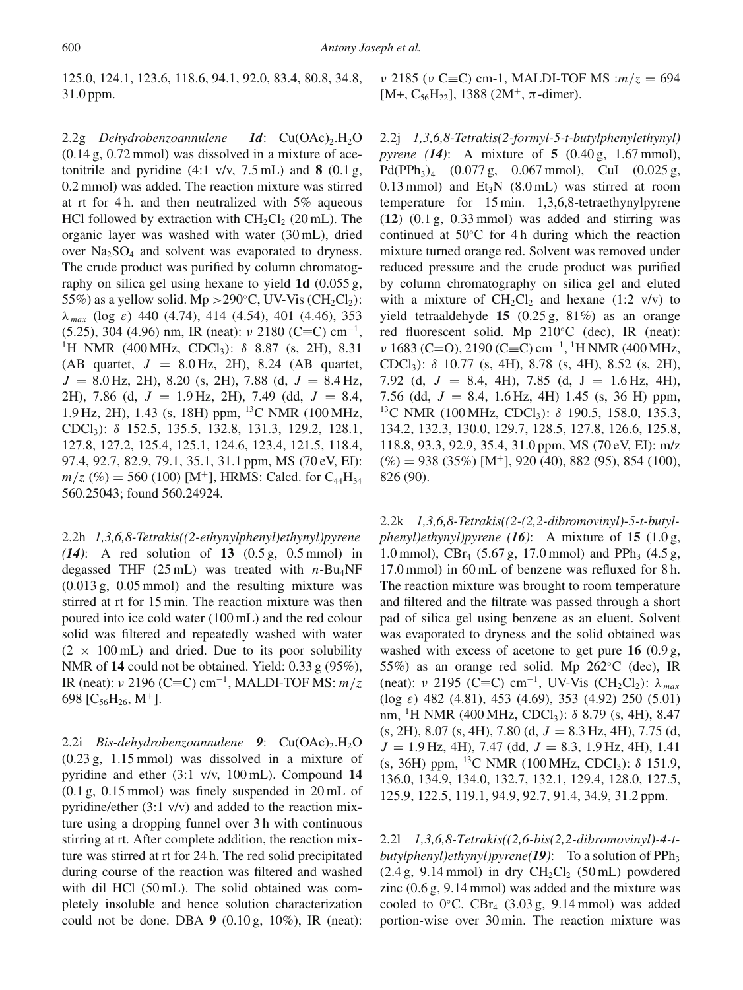125.0, 124.1, 123.6, 118.6, 94.1, 92.0, 83.4, 80.8, 34.8, 31.0 ppm.

2.2g *Dehydrobenzoannulene 1d*: Cu(OAc)<sub>2</sub>.H<sub>2</sub>O (0.14 g, 0.72 mmol) was dissolved in a mixture of acetonitrile and pyridine  $(4:1 \text{ v/v}, 7.5 \text{ mL})$  and **8**  $(0.1 \text{ g},$ 0.2 mmol) was added. The reaction mixture was stirred at rt for 4 h. and then neutralized with 5% aqueous HCl followed by extraction with  $CH_2Cl_2$  (20 mL). The organic layer was washed with water (30 mL), dried over Na<sub>2</sub>SO<sub>4</sub> and solvent was evaporated to dryness. The crude product was purified by column chromatography on silica gel using hexane to yield **1d** (0.055 g, 55%) as a yellow solid. Mp > 290°C, UV-Vis (CH<sub>2</sub>Cl<sub>2</sub>): λ *max* (log ε) 440 (4.74), 414 (4.54), 401 (4.46), 353 (5.25), 304 (4.96) nm, IR (neat):  $\nu$  2180 (C≡C) cm<sup>-1</sup>, <sup>1</sup>H NMR (400 MHz, CDCl<sub>3</sub>):  $\delta$  8.87 (s, 2H), 8.31 (AB quartet,  $J = 8.0$  Hz, 2H), 8.24 (AB quartet,  $J = 8.0$  Hz, 2H), 8.20 (s, 2H), 7.88 (d,  $J = 8.4$  Hz, 2H), 7.86 (d, *J* = 1.9 Hz, 2H), 7.49 (dd, *J* = 8.4, 1.9 Hz, 2H), 1.43 (s, 18H) ppm, 13C NMR (100 MHz, CDCl3): δ 152.5, 135.5, 132.8, 131.3, 129.2, 128.1, 127.8, 127.2, 125.4, 125.1, 124.6, 123.4, 121.5, 118.4, 97.4, 92.7, 82.9, 79.1, 35.1, 31.1 ppm, MS (70 eV, EI):  $m/z$  (%) = 560 (100) [M<sup>+</sup>], HRMS: Calcd. for C<sub>44</sub>H<sub>34</sub> 560.25043; found 560.24924.

2.2h *1,3,6,8-Tetrakis((2-ethynylphenyl)ethynyl)pyrene (14)*: A red solution of **13** (0.5 g, 0.5 mmol) in degassed THF  $(25 \text{ mL})$  was treated with *n*-Bu<sub>4</sub>NF (0.013 g, 0.05 mmol) and the resulting mixture was stirred at rt for 15 min. The reaction mixture was then poured into ice cold water (100 mL) and the red colour solid was filtered and repeatedly washed with water  $(2 \times 100 \text{ mL})$  and dried. Due to its poor solubility NMR of **14** could not be obtained. Yield: 0.33 g (95%), IR (neat): ν 2196 (C≡C) cm<sup>−</sup>1, MALDI-TOF MS: *m*/*z* 698  $[C_{56}H_{26}, M^+]$ .

2.2i *Bis-dehydrobenzoannulene* 9: Cu(OAc)<sub>2</sub>.H<sub>2</sub>O (0.23 g, 1.15 mmol) was dissolved in a mixture of pyridine and ether (3:1 v/v, 100 mL). Compound **14** (0.1 g, 0.15 mmol) was finely suspended in 20 mL of pyridine/ether (3:1 v/v) and added to the reaction mixture using a dropping funnel over 3 h with continuous stirring at rt. After complete addition, the reaction mixture was stirred at rt for 24 h. The red solid precipitated during course of the reaction was filtered and washed with dil HCl (50 mL). The solid obtained was completely insoluble and hence solution characterization could not be done. DBA **9** (0.10 g, 10%), IR (neat): ν 2185 (ν C≡C) cm-1, MALDI-TOF MS :*m*/*z* = 694 [M+, C<sub>56</sub>H<sub>22</sub>], 1388 (2M<sup>+</sup>,  $\pi$ -dimer).

2.2j *1,3,6,8-Tetrakis(2-formyl-5-t-butylphenylethynyl) pyrene (14)*: A mixture of **5** (0.40 g, 1.67 mmol), Pd(PPh<sub>3</sub>)<sub>4</sub> (0.077 g, 0.067 mmol), CuI (0.025 g, 0.13 mmol) and  $Et_3N$  (8.0 mL) was stirred at room temperature for 15 min. 1,3,6,8-tetraethynylpyrene (**12**) (0.1 g, 0.33 mmol) was added and stirring was continued at 50◦C for 4 h during which the reaction mixture turned orange red. Solvent was removed under reduced pressure and the crude product was purified by column chromatography on silica gel and eluted with a mixture of  $CH_2Cl_2$  and hexane (1:2 v/v) to yield tetraaldehyde **15** (0.25 g, 81%) as an orange red fluorescent solid. Mp 210◦C (dec), IR (neat):  $\nu$  1683 (C=O), 2190 (C≡C) cm<sup>-1</sup>, <sup>1</sup>H NMR (400 MHz, CDCl3): δ 10.77 (s, 4H), 8.78 (s, 4H), 8.52 (s, 2H), 7.92 (d,  $J = 8.4$ , 4H), 7.85 (d,  $J = 1.6$  Hz, 4H), 7.56 (dd,  $J = 8.4$ , 1.6 Hz, 4H) 1.45 (s, 36 H) ppm, <sup>13</sup>C NMR (100 MHz, CDCl<sub>3</sub>): δ 190.5, 158.0, 135.3, 134.2, 132.3, 130.0, 129.7, 128.5, 127.8, 126.6, 125.8, 118.8, 93.3, 92.9, 35.4, 31.0 ppm, MS (70 eV, EI): m/z  $(\%) = 938 (35\%) [M^+]$ , 920 (40), 882 (95), 854 (100), 826 (90).

2.2k *1,3,6,8-Tetrakis((2-(2,2-dibromovinyl)-5-t-butylphenyl)ethynyl)pyrene (16)*: A mixture of **15** (1.0 g, 1.0 mmol), CBr<sub>4</sub> (5.67 g, 17.0 mmol) and PPh<sub>3</sub> (4.5 g, 17.0 mmol) in 60 mL of benzene was refluxed for 8 h. The reaction mixture was brought to room temperature and filtered and the filtrate was passed through a short pad of silica gel using benzene as an eluent. Solvent was evaporated to dryness and the solid obtained was washed with excess of acetone to get pure **16** (0.9 g, 55%) as an orange red solid. Mp 262◦C (dec), IR (neat): ν 2195 (C≡C) cm<sup>-1</sup>, UV-Vis (CH<sub>2</sub>Cl<sub>2</sub>): λ<sub>max</sub> (log  $\varepsilon$ ) 482 (4.81), 453 (4.69), 353 (4.92) 250 (5.01) nm, <sup>1</sup>H NMR (400 MHz, CDCl<sub>3</sub>): δ 8.79 (s, 4H), 8.47 (s, 2H), 8.07 (s, 4H), 7.80 (d, *J* = 8.3 Hz, 4H), 7.75 (d, *J* = 1.9 Hz, 4H), 7.47 (dd, *J* = 8.3, 1.9 Hz, 4H), 1.41 (s, 36H) ppm, 13C NMR (100 MHz, CDCl3): δ 151.9, 136.0, 134.9, 134.0, 132.7, 132.1, 129.4, 128.0, 127.5, 125.9, 122.5, 119.1, 94.9, 92.7, 91.4, 34.9, 31.2 ppm.

2.2l *1,3,6,8-Tetrakis((2,6-bis(2,2-dibromovinyl)-4-tbutylphenyl)ethynyl)pyrene(19)*: To a solution of PPh<sub>3</sub>  $(2.4 g, 9.14 mmol)$  in dry  $CH<sub>2</sub>Cl<sub>2</sub> (50 mL)$  powdered zinc (0.6 g, 9.14 mmol) was added and the mixture was cooled to  $0^{\circ}$ C. CBr<sub>4</sub> (3.03 g, 9.14 mmol) was added portion-wise over 30 min. The reaction mixture was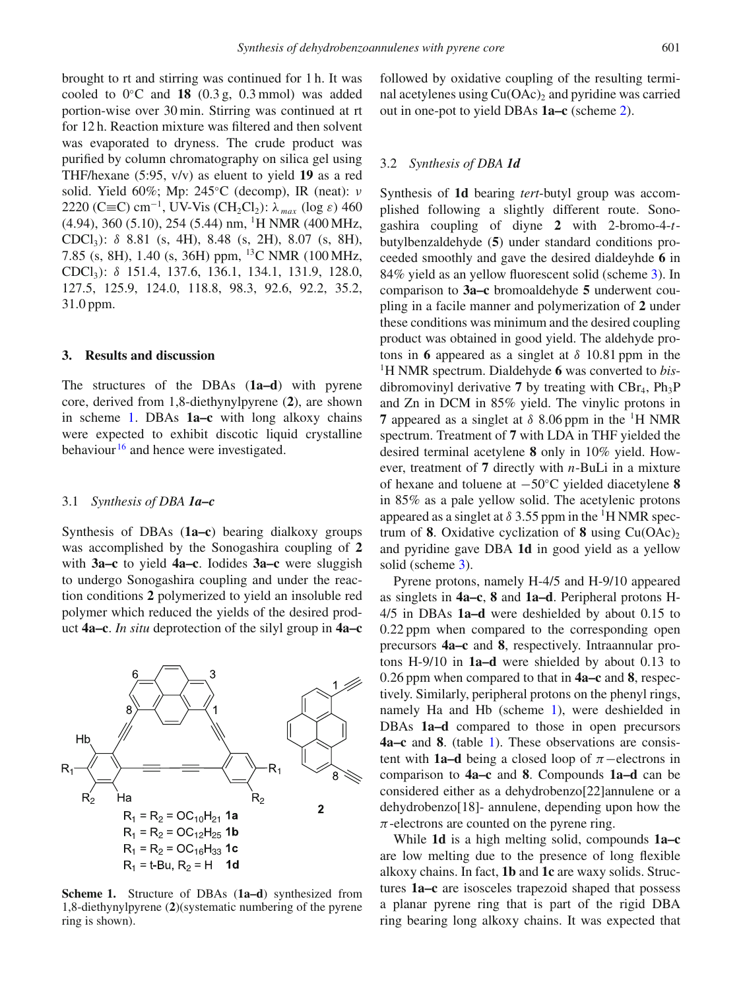brought to rt and stirring was continued for 1 h. It was cooled to 0◦C and **18** (0.3 g, 0.3 mmol) was added portion-wise over 30 min. Stirring was continued at rt for 12 h. Reaction mixture was filtered and then solvent was evaporated to dryness. The crude product was purified by column chromatography on silica gel using THF/hexane (5:95, v/v) as eluent to yield **19** as a red solid. Yield 60%; Mp: 245 °C (decomp), IR (neat):  $\nu$ 2220 (C≡C) cm<sup>-1</sup>, UV-Vis (CH<sub>2</sub>Cl<sub>2</sub>):  $\lambda_{max}$  (log ε) 460 (4.94), 360 (5.10), 254 (5.44) nm, 1H NMR (400 MHz, CDCl<sub>3</sub>):  $\delta$  8.81 (s, 4H), 8.48 (s, 2H), 8.07 (s, 8H), 7.85 (s, 8H), 1.40 (s, 36H) ppm, 13C NMR (100 MHz, CDCl<sub>3</sub>): δ 151.4, 137.6, 136.1, 134.1, 131.9, 128.0, 127.5, 125.9, 124.0, 118.8, 98.3, 92.6, 92.2, 35.2, 31.0 ppm.

#### **3. Results and discussion**

The structures of the DBAs (**1a–d**) with pyrene core, derived from 1,8-diethynylpyrene (**2**), are shown in scheme [1.](#page-4-0) DBAs **1a–c** with long alkoxy chains were expected to exhibit discotic liquid crystalline behaviour  $16$  and hence were investigated.

#### 3.1 *Synthesis of DBA 1a–c*

Synthesis of DBAs (**1a–c**) bearing dialkoxy groups was accomplished by the Sonogashira coupling of **2** with **3a–c** to yield **4a–c**. Iodides **3a–c** were sluggish to undergo Sonogashira coupling and under the reaction conditions **2** polymerized to yield an insoluble red polymer which reduced the yields of the desired product **4a–c**. *In situ* deprotection of the silyl group in **4a–c**

<span id="page-4-0"></span>

**Scheme 1.** Structure of DBAs (**1a–d**) synthesized from 1,8-diethynylpyrene (**2**)(systematic numbering of the pyrene ring is shown).

followed by oxidative coupling of the resulting terminal acetylenes using  $Cu(OAc)$ , and pyridine was carried out in one-pot to yield DBAs **1a–c** (scheme [2\)](#page-5-0).

#### 3.2 *Synthesis of DBA 1d*

Synthesis of **1d** bearing *tert*-butyl group was accomplished following a slightly different route. Sonogashira coupling of diyne **2** with 2-bromo-4-*t*butylbenzaldehyde (**5**) under standard conditions proceeded smoothly and gave the desired dialdeyhde **6** in 84% yield as an yellow fluorescent solid (scheme [3\)](#page-5-1). In comparison to **3a–c** bromoaldehyde **5** underwent coupling in a facile manner and polymerization of **2** under these conditions was minimum and the desired coupling product was obtained in good yield. The aldehyde protons in **6** appeared as a singlet at  $\delta$  10.81 ppm in the 1H NMR spectrum. Dialdehyde **6** was converted to *bis*dibromovinyl derivative **7** by treating with  $CBr_4$ ,  $Ph_3P$ and Zn in DCM in 85% yield. The vinylic protons in **7** appeared as a singlet at  $\delta$  8.06 ppm in the <sup>1</sup>H NMR spectrum. Treatment of **7** with LDA in THF yielded the desired terminal acetylene **8** only in 10% yield. However, treatment of **7** directly with *n*-BuLi in a mixture of hexane and toluene at −50◦C yielded diacetylene **8** in 85% as a pale yellow solid. The acetylenic protons appeared as a singlet at  $\delta$  3.55 ppm in the <sup>1</sup>H NMR spectrum of **8**. Oxidative cyclization of **8** using  $Cu(OAc)<sub>2</sub>$ and pyridine gave DBA **1d** in good yield as a yellow solid (scheme [3\)](#page-5-1).

Pyrene protons, namely H-4/5 and H-9/10 appeared as singlets in **4a–c**, **8** and **1a–d**. Peripheral protons H-4/5 in DBAs **1a–d** were deshielded by about 0.15 to 0.22 ppm when compared to the corresponding open precursors **4a–c** and **8**, respectively. Intraannular protons H-9/10 in **1a–d** were shielded by about 0.13 to 0.26 ppm when compared to that in **4a–c** and **8**, respectively. Similarly, peripheral protons on the phenyl rings, namely Ha and Hb (scheme [1\)](#page-4-0), were deshielded in DBAs **1a–d** compared to those in open precursors **4a–c** and **8**. (table [1\)](#page-6-0). These observations are consistent with **1a–d** being a closed loop of  $\pi$ –electrons in comparison to **4a–c** and **8**. Compounds **1a–d** can be considered either as a dehydrobenzo[22]annulene or a dehydrobenzo[18]- annulene, depending upon how the  $\pi$ -electrons are counted on the pyrene ring.

While **1d** is a high melting solid, compounds **1a–c** are low melting due to the presence of long flexible alkoxy chains. In fact, **1b** and **1c** are waxy solids. Structures **1a–c** are isosceles trapezoid shaped that possess a planar pyrene ring that is part of the rigid DBA ring bearing long alkoxy chains. It was expected that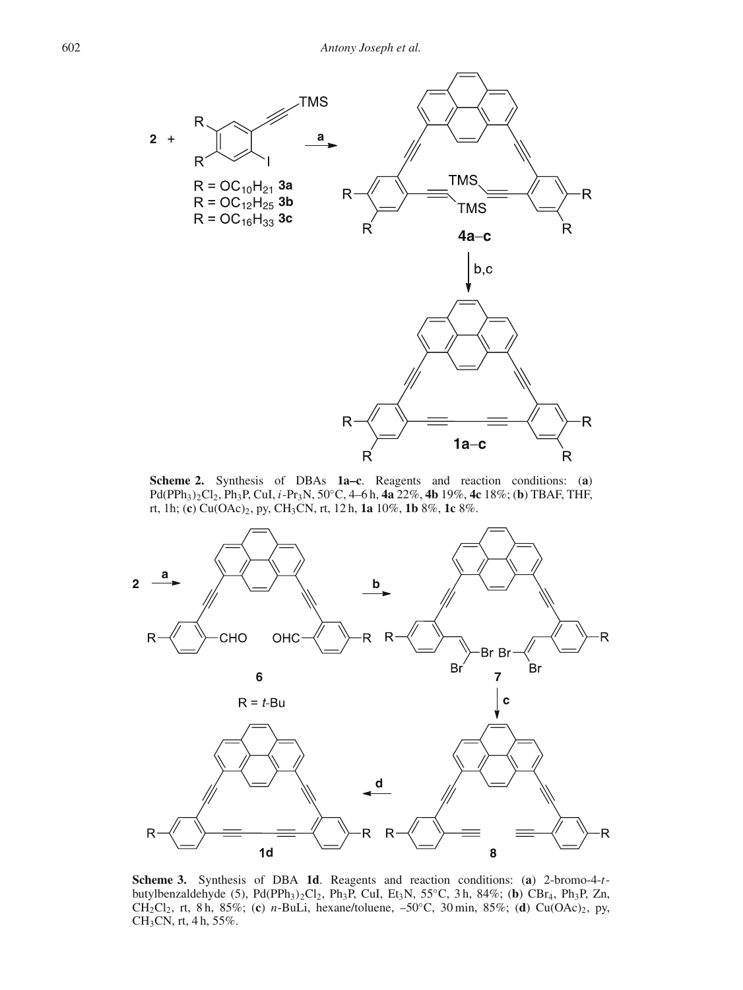<span id="page-5-0"></span>

**Scheme 2.** Synthesis of DBAs **1a–c**. Reagents and reaction conditions: (**a**) Pd(PPh3)2Cl2, Ph3P, CuI, *i*-Pr3N, 50◦C, 4–6 h, **4a** 22%, **4b** 19%, **4c** 18%; (**b**) TBAF, THF, rt, 1h; (**c**) Cu(OAc)2, py, CH3CN, rt, 12 h, **1a** 10%, **1b** 8%, **1c** 8%.

<span id="page-5-1"></span>

**Scheme 3.** Synthesis of DBA **1d**. Reagents and reaction conditions: (**a**) 2-bromo-4-*t*butylbenzaldehyde (5), Pd(PPh<sub>3</sub>)<sub>2</sub>Cl<sub>2</sub>, Ph<sub>3</sub>P, CuI, Et<sub>3</sub>N, 55°C, 3 h, 84%; (**b**) CBr<sub>4</sub>, Ph<sub>3</sub>P, Zn, CH2Cl2, rt, 8 h, 85%; (**c**) *n*-BuLi, hexane/toluene, –50◦C, 30 min, 85%; (**d**) Cu(OAc)2, py, CH3CN, rt, 4 h, 55%.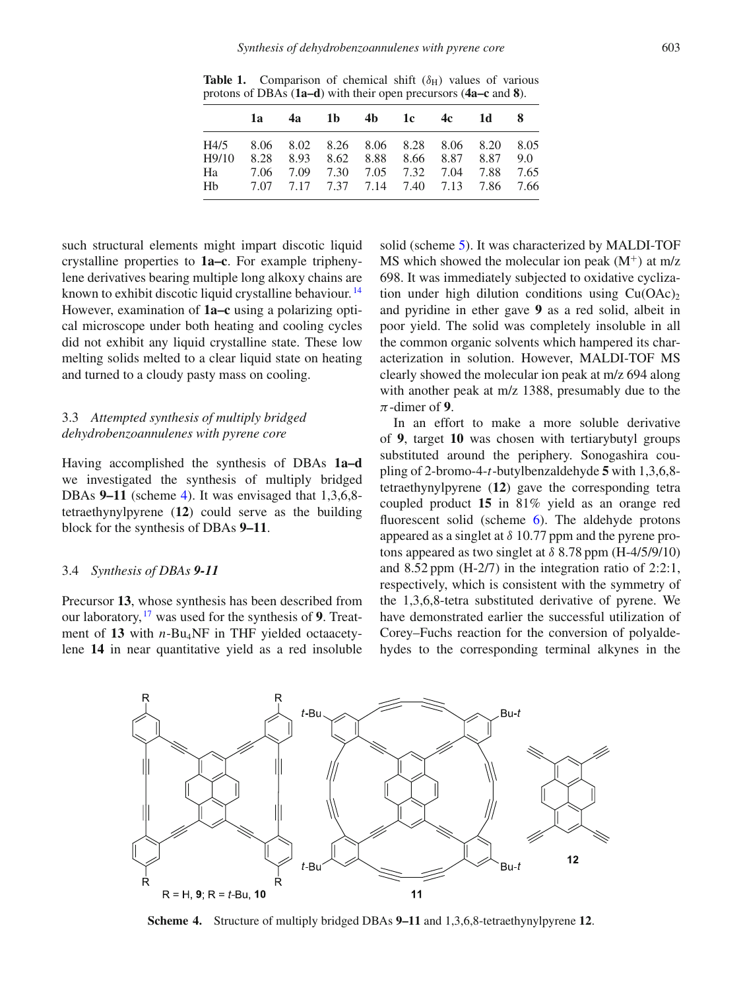<span id="page-6-0"></span>**Table 1.** Comparison of chemical shift  $(\delta_H)$  values of various protons of DBAs (**1a–d**) with their open precursors (**4a–c** and **8**).

| H4/5 8.06 8.02 8.26 8.06 8.28 8.06 8.20 8.05                                                                                                          | - 8 |
|-------------------------------------------------------------------------------------------------------------------------------------------------------|-----|
| H9/10 8.28 8.93 8.62 8.88 8.66 8.87 8.87 9.0<br>7.06 7.09 7.30 7.05 7.32 7.04 7.88 7.65<br>Ha <b>Ha</b><br>Hb 7.07 7.17 7.37 7.14 7.40 7.13 7.86 7.66 |     |

such structural elements might impart discotic liquid crystalline properties to **1a–c**. For example triphenylene derivatives bearing multiple long alkoxy chains are known to exhibit discotic liquid crystalline behaviour. [14](#page-10-13) However, examination of **1a–c** using a polarizing optical microscope under both heating and cooling cycles did not exhibit any liquid crystalline state. These low melting solids melted to a clear liquid state on heating and turned to a cloudy pasty mass on cooling.

# 3.3 *Attempted synthesis of multiply bridged dehydrobenzoannulenes with pyrene core*

Having accomplished the synthesis of DBAs **1a–d** we investigated the synthesis of multiply bridged DBAs **9–11** (scheme [4\)](#page-6-1). It was envisaged that 1,3,6,8 tetraethynylpyrene (**12**) could serve as the building block for the synthesis of DBAs **9–11**.

### 3.4 *Synthesis of DBAs 9-11*

Precursor **13**, whose synthesis has been described from our laboratory, [17](#page-10-16) was used for the synthesis of **9**. Treatment of 13 with *n*-Bu<sub>4</sub>NF in THF yielded octaacetylene **14** in near quantitative yield as a red insoluble

solid (scheme [5\)](#page-7-0). It was characterized by MALDI-TOF MS which showed the molecular ion peak  $(M<sup>+</sup>)$  at m/z 698. It was immediately subjected to oxidative cyclization under high dilution conditions using  $Cu(OAc)_{2}$ and pyridine in ether gave **9** as a red solid, albeit in poor yield. The solid was completely insoluble in all the common organic solvents which hampered its characterization in solution. However, MALDI-TOF MS clearly showed the molecular ion peak at m/z 694 along with another peak at m/z 1388, presumably due to the  $\pi$ -dimer of **9**.

In an effort to make a more soluble derivative of **9**, target **10** was chosen with tertiarybutyl groups substituted around the periphery. Sonogashira coupling of 2-bromo-4-*t*-butylbenzaldehyde **5** with 1,3,6,8 tetraethynylpyrene (**12**) gave the corresponding tetra coupled product **15** in 81% yield as an orange red fluorescent solid (scheme [6\)](#page-8-0). The aldehyde protons appeared as a singlet at  $\delta$  10.77 ppm and the pyrene protons appeared as two singlet at  $\delta$  8.78 ppm (H-4/5/9/10) and 8.52 ppm (H-2/7) in the integration ratio of 2:2:1, respectively, which is consistent with the symmetry of the 1,3,6,8-tetra substituted derivative of pyrene. We have demonstrated earlier the successful utilization of Corey–Fuchs reaction for the conversion of polyaldehydes to the corresponding terminal alkynes in the

<span id="page-6-1"></span>

**Scheme 4.** Structure of multiply bridged DBAs **9–11** and 1,3,6,8-tetraethynylpyrene **12**.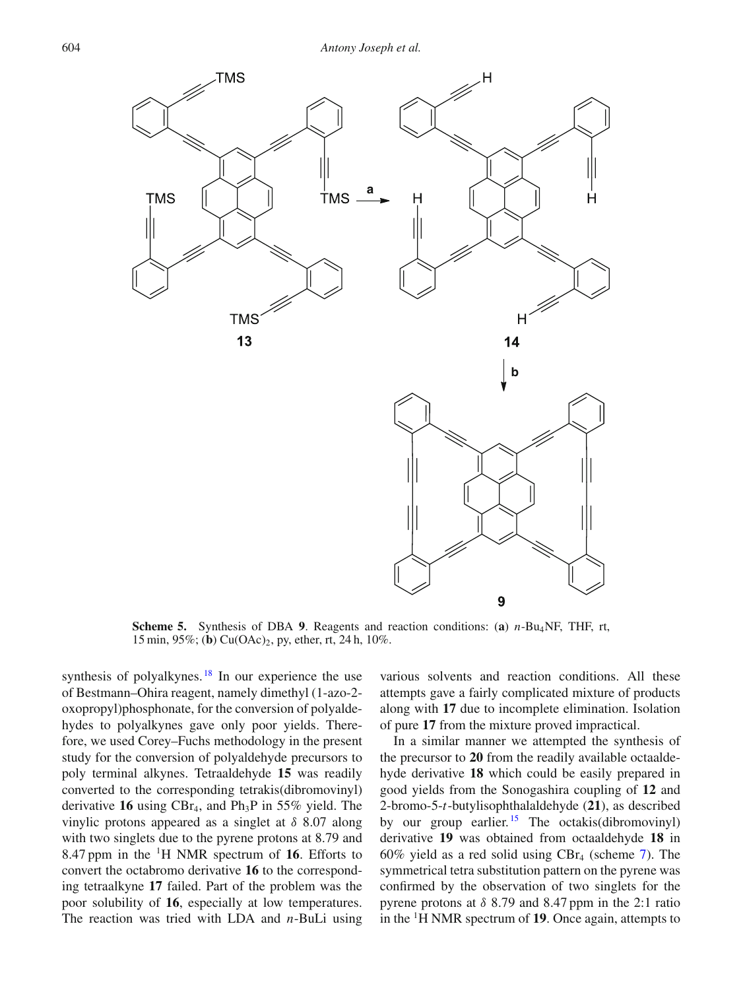<span id="page-7-0"></span>

**Scheme 5.** Synthesis of DBA **9**. Reagents and reaction conditions: (**a**) *n*-Bu4NF, THF, rt, 15 min, 95%; (**b**) Cu(OAc)2, py, ether, rt, 24 h, 10%.

synthesis of polyalkynes.  $18$  In our experience the use of Bestmann–Ohira reagent, namely dimethyl (1-azo-2 oxopropyl)phosphonate, for the conversion of polyaldehydes to polyalkynes gave only poor yields. Therefore, we used Corey–Fuchs methodology in the present study for the conversion of polyaldehyde precursors to poly terminal alkynes. Tetraaldehyde **15** was readily converted to the corresponding tetrakis(dibromovinyl) derivative 16 using  $CBr_4$ , and  $Ph_3P$  in 55% yield. The vinylic protons appeared as a singlet at  $\delta$  8.07 along with two singlets due to the pyrene protons at 8.79 and 8.47 ppm in the 1H NMR spectrum of **16**. Efforts to convert the octabromo derivative **16** to the corresponding tetraalkyne **17** failed. Part of the problem was the poor solubility of **16**, especially at low temperatures. The reaction was tried with LDA and *n*-BuLi using

various solvents and reaction conditions. All these attempts gave a fairly complicated mixture of products along with **17** due to incomplete elimination. Isolation of pure **17** from the mixture proved impractical.

In a similar manner we attempted the synthesis of the precursor to **20** from the readily available octaaldehyde derivative **18** which could be easily prepared in good yields from the Sonogashira coupling of **12** and 2-bromo-5-*t*-butylisophthalaldehyde (**21**), as described by our group earlier.<sup>[15](#page-10-14)</sup> The octakis(dibromovinyl) derivative **19** was obtained from octaaldehyde **18** in 60% yield as a red solid using  $CBr_4$  (scheme [7\)](#page-9-0). The symmetrical tetra substitution pattern on the pyrene was confirmed by the observation of two singlets for the pyrene protons at  $\delta$  8.79 and 8.47 ppm in the 2:1 ratio in the 1H NMR spectrum of **19**. Once again, attempts to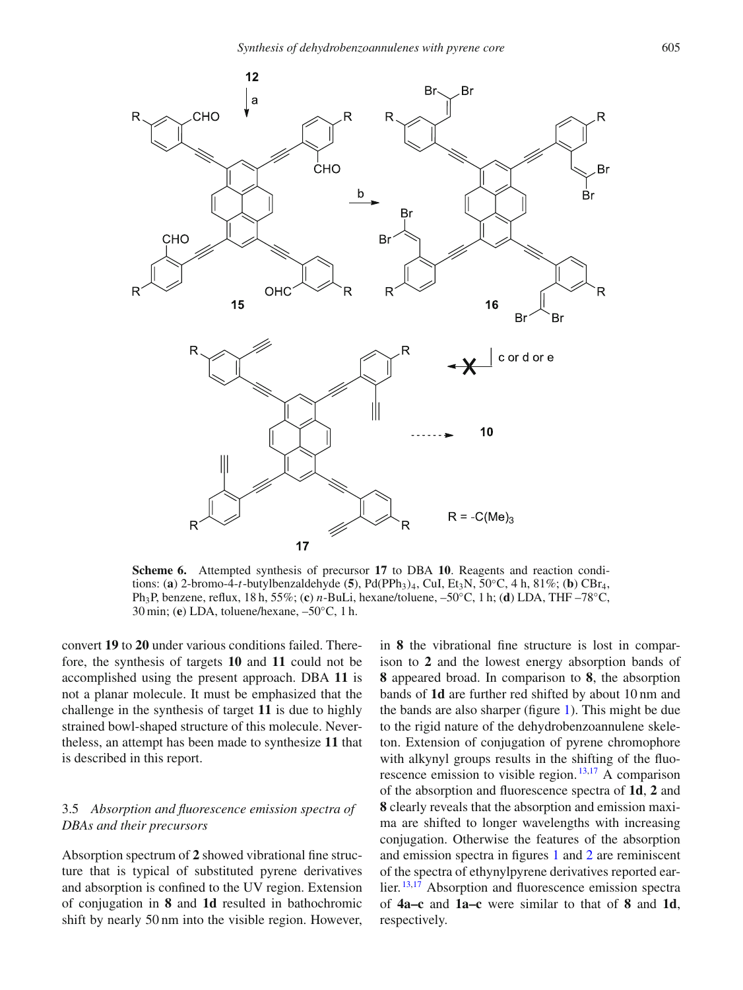<span id="page-8-0"></span>

**Scheme 6.** Attempted synthesis of precursor **17** to DBA **10**. Reagents and reaction conditions: (**a**) 2-bromo-4-*t*-butylbenzaldehyde (**5**), Pd(PPh<sub>3</sub>)<sub>4</sub>, CuI, Et<sub>3</sub>N, 50°C, 4 h, 81%; (**b**) CBr<sub>4</sub>, Ph3P, benzene, reflux, 18 h, 55%; (**c**) *n*-BuLi, hexane/toluene, –50◦C, 1 h; (**d**) LDA, THF –78◦C, 30 min; (**e**) LDA, toluene/hexane, –50◦C, 1 h.

convert **19** to **20** under various conditions failed. Therefore, the synthesis of targets **10** and **11** could not be accomplished using the present approach. DBA **11** is not a planar molecule. It must be emphasized that the challenge in the synthesis of target **11** is due to highly strained bowl-shaped structure of this molecule. Nevertheless, an attempt has been made to synthesize **11** that is described in this report.

# 3.5 *Absorption and fluorescence emission spectra of DBAs and their precursors*

Absorption spectrum of **2** showed vibrational fine structure that is typical of substituted pyrene derivatives and absorption is confined to the UV region. Extension of conjugation in **8** and **1d** resulted in bathochromic shift by nearly 50 nm into the visible region. However,

in **8** the vibrational fine structure is lost in comparison to **2** and the lowest energy absorption bands of **8** appeared broad. In comparison to **8**, the absorption bands of **1d** are further red shifted by about 10 nm and the bands are also sharper (figure [1\)](#page-9-1). This might be due to the rigid nature of the dehydrobenzoannulene skeleton. Extension of conjugation of pyrene chromophore with alkynyl groups results in the shifting of the fluorescence emission to visible region. [13](#page-10-12)[,17](#page-10-16) A comparison of the absorption and fluorescence spectra of **1d**, **2** and **8** clearly reveals that the absorption and emission maxima are shifted to longer wavelengths with increasing conjugation. Otherwise the features of the absorption and emission spectra in figures [1](#page-9-1) and [2](#page-9-2) are reminiscent of the spectra of ethynylpyrene derivatives reported ear-lier. <sup>[13](#page-10-12)[,17](#page-10-16)</sup> Absorption and fluorescence emission spectra of **4a–c** and **1a–c** were similar to that of **8** and **1d**, respectively.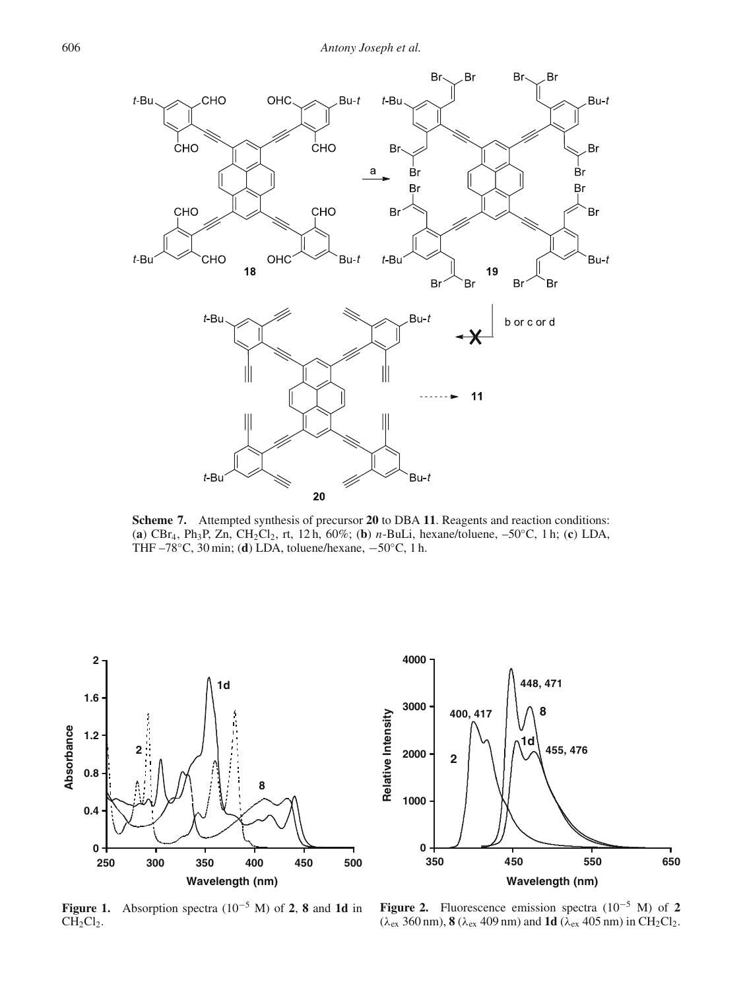<span id="page-9-0"></span>

**Scheme 7.** Attempted synthesis of precursor **20** to DBA **11**. Reagents and reaction conditions: (**a**) CBr4, Ph3P, Zn, CH2Cl2, rt, 12 h, 60%; (**b**) *n*-BuLi, hexane/toluene, –50◦C, 1 h; (**c**) LDA, THF –78◦C, 30 min; (**d**) LDA, toluene/hexane, −50◦C, 1 h.

<span id="page-9-1"></span>

<span id="page-9-2"></span>

**Figure 1.** Absorption spectra (10<sup>−</sup><sup>5</sup> M) of **2**, **8** and **1d** in  $CH<sub>2</sub>Cl<sub>2</sub>$ .

**Figure 2.** Fluorescence emission spectra (10<sup>−</sup><sup>5</sup> M) of **2**  $(\lambda_{ex} \cdot 360 \text{ nm})$ , **8** ( $\lambda_{ex}$  409 nm) and **1d** ( $\lambda_{ex}$  405 nm) in CH<sub>2</sub>Cl<sub>2</sub>.